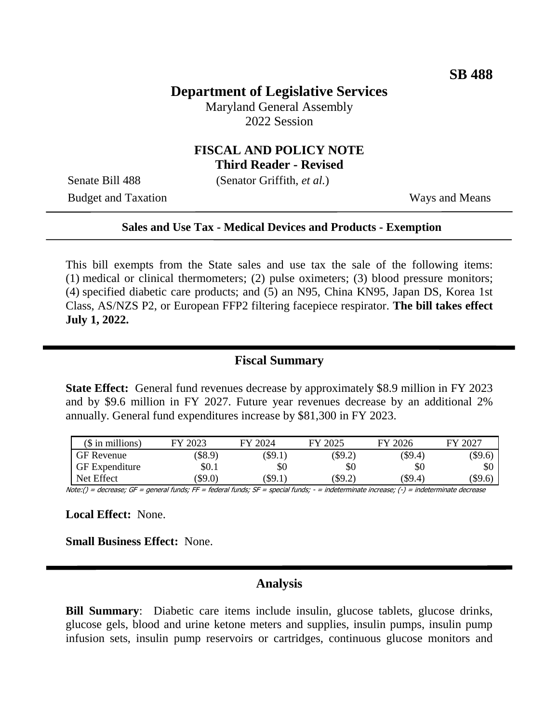## **Department of Legislative Services**

Maryland General Assembly 2022 Session

### **FISCAL AND POLICY NOTE Third Reader - Revised**

Senate Bill 488 (Senator Griffith, *et al.*)

Budget and Taxation Ways and Means

#### **Sales and Use Tax - Medical Devices and Products - Exemption**

This bill exempts from the State sales and use tax the sale of the following items: (1) medical or clinical thermometers; (2) pulse oximeters; (3) blood pressure monitors; (4) specified diabetic care products; and (5) an N95, China KN95, Japan DS, Korea 1st Class, AS/NZS P2, or European FFP2 filtering facepiece respirator. **The bill takes effect July 1, 2022.**

#### **Fiscal Summary**

**State Effect:** General fund revenues decrease by approximately \$8.9 million in FY 2023 and by \$9.6 million in FY 2027. Future year revenues decrease by an additional 2% annually. General fund expenditures increase by \$81,300 in FY 2023.

| $($$ in millions)     | FY 2023 | FY 2024       | FY 2025   | FY 2026 | FY 2027   |
|-----------------------|---------|---------------|-----------|---------|-----------|
| <b>GF</b> Revenue     | \$8.9   | $(\$9.1)$     | $(\$9.2)$ | (\$9.4) | $(\$9.6)$ |
| <b>GF</b> Expenditure | \$0.1   | \$0           | \$0       | \$0     | \$0       |
| Net Effect            | \$9.0)  | $($ \$9.1 $)$ | \$9.2)    | (\$9.4) | $(\$9.6)$ |

Note:() = decrease; GF = general funds; FF = federal funds; SF = special funds; - = indeterminate increase; (-) = indeterminate decrease

**Local Effect:** None.

**Small Business Effect:** None.

## **Analysis**

**Bill Summary:** Diabetic care items include insulin, glucose tablets, glucose drinks, glucose gels, blood and urine ketone meters and supplies, insulin pumps, insulin pump infusion sets, insulin pump reservoirs or cartridges, continuous glucose monitors and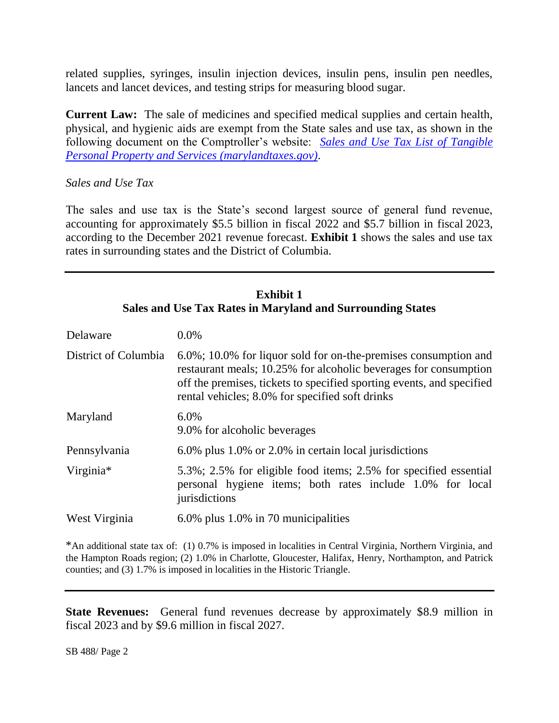related supplies, syringes, insulin injection devices, insulin pens, insulin pen needles, lancets and lancet devices, and testing strips for measuring blood sugar.

**Current Law:** The sale of medicines and specified medical supplies and certain health, physical, and hygienic aids are exempt from the State sales and use tax, as shown in the following document on the Comptroller's website: *[Sales and Use Tax List of Tangible](https://marylandtaxes.gov/forms/Tax_Publications/Sales_and_Use_Tax-List_of_TPP_and_Services.pdf)  [Personal Property and Services \(marylandtaxes.gov\)](https://marylandtaxes.gov/forms/Tax_Publications/Sales_and_Use_Tax-List_of_TPP_and_Services.pdf)*.

## *Sales and Use Tax*

The sales and use tax is the State's second largest source of general fund revenue, accounting for approximately \$5.5 billion in fiscal 2022 and \$5.7 billion in fiscal 2023, according to the December 2021 revenue forecast. **Exhibit 1** shows the sales and use tax rates in surrounding states and the District of Columbia.

## **Exhibit 1 Sales and Use Tax Rates in Maryland and Surrounding States**

| Delaware             | $0.0\%$                                                                                                                                                                                                                                                         |  |
|----------------------|-----------------------------------------------------------------------------------------------------------------------------------------------------------------------------------------------------------------------------------------------------------------|--|
| District of Columbia | 6.0%; 10.0% for liquor sold for on-the-premises consumption and<br>restaurant meals; 10.25% for alcoholic beverages for consumption<br>off the premises, tickets to specified sporting events, and specified<br>rental vehicles; 8.0% for specified soft drinks |  |
| Maryland             | 6.0%<br>9.0% for alcoholic beverages                                                                                                                                                                                                                            |  |
| Pennsylvania         | 6.0% plus 1.0% or 2.0% in certain local jurisdictions                                                                                                                                                                                                           |  |
| Virginia*            | 5.3%; 2.5% for eligible food items; 2.5% for specified essential<br>personal hygiene items; both rates include 1.0% for local<br>jurisdictions                                                                                                                  |  |
| West Virginia        | 6.0% plus 1.0% in 70 municipalities                                                                                                                                                                                                                             |  |

\*An additional state tax of: (1) 0.7% is imposed in localities in Central Virginia, Northern Virginia, and the Hampton Roads region; (2) 1.0% in Charlotte, Gloucester, Halifax, Henry, Northampton, and Patrick counties; and (3) 1.7% is imposed in localities in the Historic Triangle.

**State Revenues:** General fund revenues decrease by approximately \$8.9 million in fiscal 2023 and by \$9.6 million in fiscal 2027.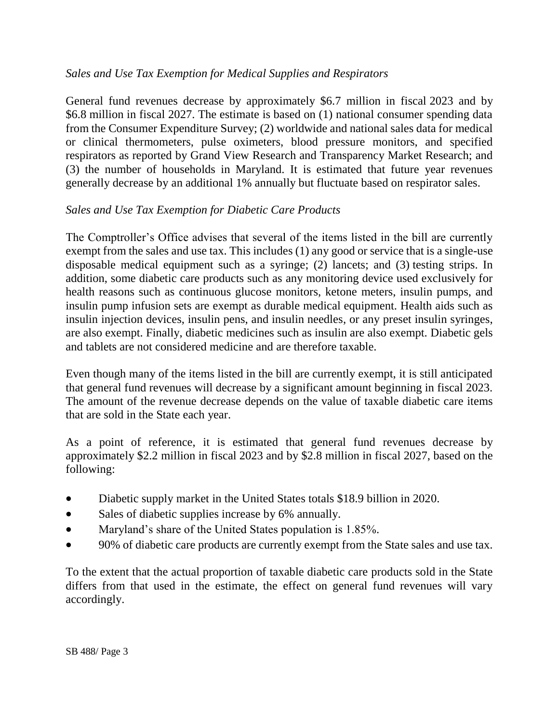## *Sales and Use Tax Exemption for Medical Supplies and Respirators*

General fund revenues decrease by approximately \$6.7 million in fiscal 2023 and by \$6.8 million in fiscal 2027. The estimate is based on (1) national consumer spending data from the Consumer Expenditure Survey; (2) worldwide and national sales data for medical or clinical thermometers, pulse oximeters, blood pressure monitors, and specified respirators as reported by Grand View Research and Transparency Market Research; and (3) the number of households in Maryland. It is estimated that future year revenues generally decrease by an additional 1% annually but fluctuate based on respirator sales.

## *Sales and Use Tax Exemption for Diabetic Care Products*

The Comptroller's Office advises that several of the items listed in the bill are currently exempt from the sales and use tax. This includes (1) any good or service that is a single-use disposable medical equipment such as a syringe; (2) lancets; and (3) testing strips. In addition, some diabetic care products such as any monitoring device used exclusively for health reasons such as continuous glucose monitors, ketone meters, insulin pumps, and insulin pump infusion sets are exempt as durable medical equipment. Health aids such as insulin injection devices, insulin pens, and insulin needles, or any preset insulin syringes, are also exempt. Finally, diabetic medicines such as insulin are also exempt. Diabetic gels and tablets are not considered medicine and are therefore taxable.

Even though many of the items listed in the bill are currently exempt, it is still anticipated that general fund revenues will decrease by a significant amount beginning in fiscal 2023. The amount of the revenue decrease depends on the value of taxable diabetic care items that are sold in the State each year.

As a point of reference, it is estimated that general fund revenues decrease by approximately \$2.2 million in fiscal 2023 and by \$2.8 million in fiscal 2027, based on the following:

- Diabetic supply market in the United States totals \$18.9 billion in 2020.
- Sales of diabetic supplies increase by 6% annually.
- Maryland's share of the United States population is 1.85%.
- 90% of diabetic care products are currently exempt from the State sales and use tax.

To the extent that the actual proportion of taxable diabetic care products sold in the State differs from that used in the estimate, the effect on general fund revenues will vary accordingly.